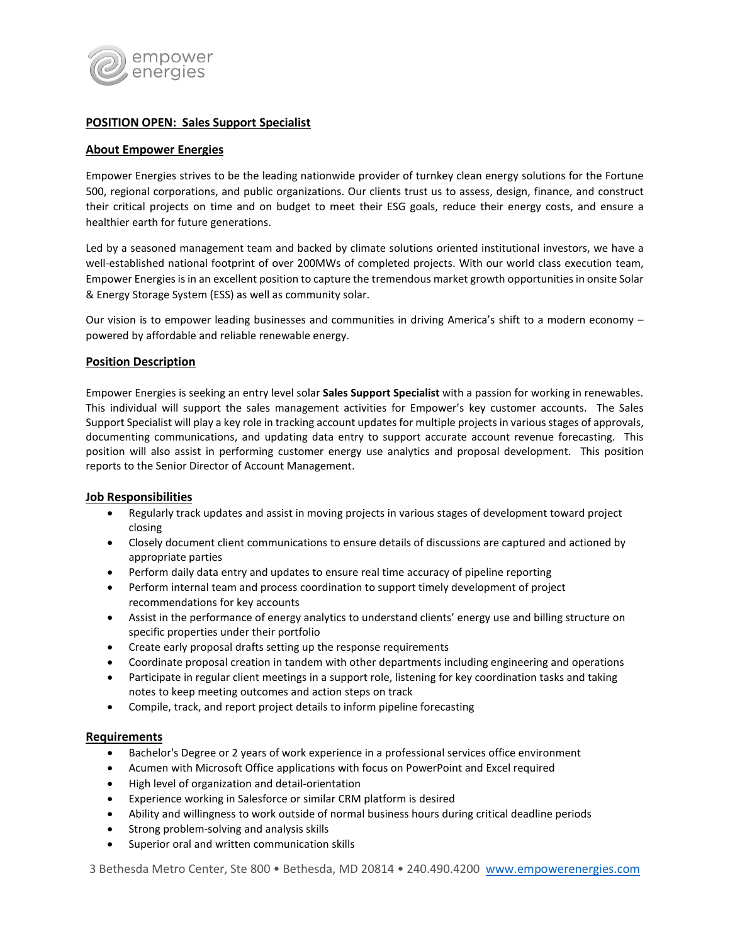

# **POSITION OPEN: Sales Support Specialist**

### **About Empower Energies**

Empower Energies strives to be the leading nationwide provider of turnkey clean energy solutions for the Fortune 500, regional corporations, and public organizations. Our clients trust us to assess, design, finance, and construct their critical projects on time and on budget to meet their ESG goals, reduce their energy costs, and ensure a healthier earth for future generations.

Led by a seasoned management team and backed by climate solutions oriented institutional investors, we have a well-established national footprint of over 200MWs of completed projects. With our world class execution team, Empower Energies is in an excellent position to capture the tremendous market growth opportunities in onsite Solar & Energy Storage System (ESS) as well as community solar.

Our vision is to empower leading businesses and communities in driving America's shift to a modern economy – powered by affordable and reliable renewable energy.

## **Position Description**

Empower Energies is seeking an entry level solar **Sales Support Specialist** with a passion for working in renewables. This individual will support the sales management activities for Empower's key customer accounts. The Sales Support Specialist will play a key role in tracking account updates for multiple projects in various stages of approvals, documenting communications, and updating data entry to support accurate account revenue forecasting. This position will also assist in performing customer energy use analytics and proposal development. This position reports to the Senior Director of Account Management.

## **Job Responsibilities**

- Regularly track updates and assist in moving projects in various stages of development toward project closing
- Closely document client communications to ensure details of discussions are captured and actioned by appropriate parties
- Perform daily data entry and updates to ensure real time accuracy of pipeline reporting
- Perform internal team and process coordination to support timely development of project recommendations for key accounts
- Assist in the performance of energy analytics to understand clients' energy use and billing structure on specific properties under their portfolio
- Create early proposal drafts setting up the response requirements
- Coordinate proposal creation in tandem with other departments including engineering and operations
- Participate in regular client meetings in a support role, listening for key coordination tasks and taking notes to keep meeting outcomes and action steps on track
- Compile, track, and report project details to inform pipeline forecasting

#### **Requirements**

- Bachelor's Degree or 2 years of work experience in a professional services office environment
- Acumen with Microsoft Office applications with focus on PowerPoint and Excel required
- High level of organization and detail-orientation
- Experience working in Salesforce or similar CRM platform is desired
- Ability and willingness to work outside of normal business hours during critical deadline periods
- Strong problem-solving and analysis skills
- Superior oral and written communication skills

3 Bethesda Metro Center, Ste 800 • Bethesda, MD 20814 • 240.490.4200 [www.empowerenergies.com](http://www.empowerenergies.com/)